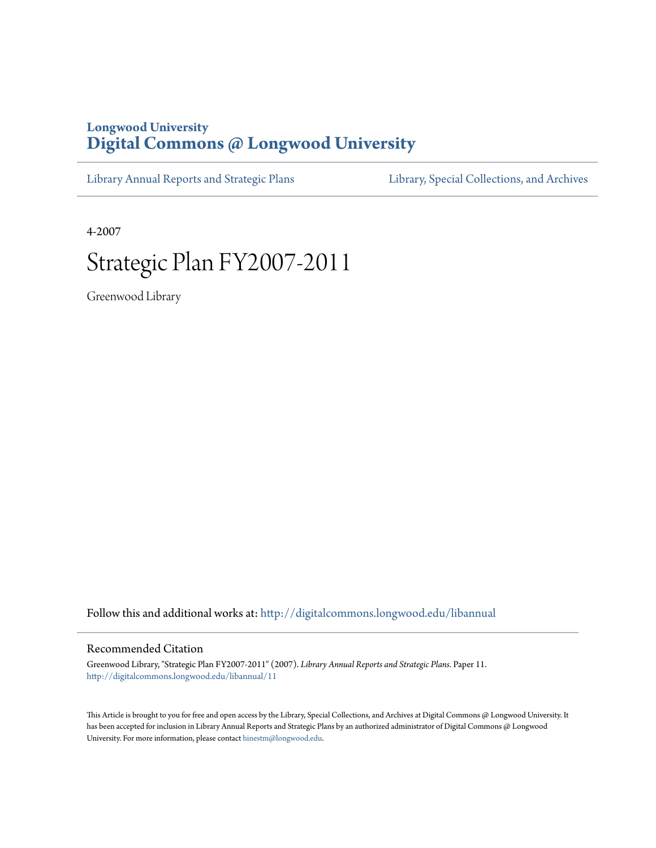# **Longwood University [Digital Commons @ Longwood University](http://digitalcommons.longwood.edu?utm_source=digitalcommons.longwood.edu%2Flibannual%2F11&utm_medium=PDF&utm_campaign=PDFCoverPages)**

[Library Annual Reports and Strategic Plans](http://digitalcommons.longwood.edu/libannual?utm_source=digitalcommons.longwood.edu%2Flibannual%2F11&utm_medium=PDF&utm_campaign=PDFCoverPages) [Library, Special Collections, and Archives](http://digitalcommons.longwood.edu/special?utm_source=digitalcommons.longwood.edu%2Flibannual%2F11&utm_medium=PDF&utm_campaign=PDFCoverPages)

4-2007

# Strategic Plan FY2007-2011

Greenwood Library

Follow this and additional works at: [http://digitalcommons.longwood.edu/libannual](http://digitalcommons.longwood.edu/libannual?utm_source=digitalcommons.longwood.edu%2Flibannual%2F11&utm_medium=PDF&utm_campaign=PDFCoverPages)

#### Recommended Citation

Greenwood Library, "Strategic Plan FY2007-2011" (2007). *Library Annual Reports and Strategic Plans.* Paper 11. [http://digitalcommons.longwood.edu/libannual/11](http://digitalcommons.longwood.edu/libannual/11?utm_source=digitalcommons.longwood.edu%2Flibannual%2F11&utm_medium=PDF&utm_campaign=PDFCoverPages)

This Article is brought to you for free and open access by the Library, Special Collections, and Archives at Digital Commons @ Longwood University. It has been accepted for inclusion in Library Annual Reports and Strategic Plans by an authorized administrator of Digital Commons @ Longwood University. For more information, please contact [hinestm@longwood.edu.](mailto:hinestm@longwood.edu)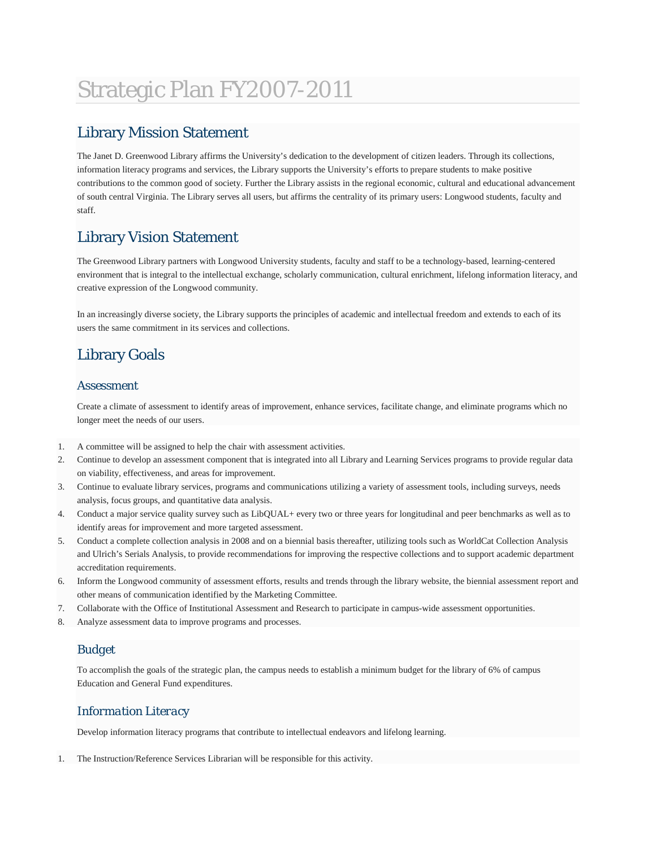# Strategic Plan FY2007-2011

## Library Mission Statement

The Janet D. Greenwood Library affirms the University's dedication to the development of citizen leaders. Through its collections, information literacy programs and services, the Library supports the University's efforts to prepare students to make positive contributions to the common good of society. Further the Library assists in the regional economic, cultural and educational advancement of south central Virginia. The Library serves all users, but affirms the centrality of its primary users: Longwood students, faculty and staff.

# Library Vision Statement

The Greenwood Library partners with Longwood University students, faculty and staff to be a technology-based, learning-centered environment that is integral to the intellectual exchange, scholarly communication, cultural enrichment, lifelong information literacy, and creative expression of the Longwood community.

In an increasingly diverse society, the Library supports the principles of academic and intellectual freedom and extends to each of its users the same commitment in its services and collections.

# Library Goals

### *Assessment*

Create a climate of assessment to identify areas of improvement, enhance services, facilitate change, and eliminate programs which no longer meet the needs of our users.

- 1. A committee will be assigned to help the chair with assessment activities.
- 2. Continue to develop an assessment component that is integrated into all Library and Learning Services programs to provide regular data on viability, effectiveness, and areas for improvement.
- 3. Continue to evaluate library services, programs and communications utilizing a variety of assessment tools, including surveys, needs analysis, focus groups, and quantitative data analysis.
- 4. Conduct a major service quality survey such as LibQUAL+ every two or three years for longitudinal and peer benchmarks as well as to identify areas for improvement and more targeted assessment.
- 5. Conduct a complete collection analysis in 2008 and on a biennial basis thereafter, utilizing tools such as WorldCat Collection Analysis and Ulrich's Serials Analysis, to provide recommendations for improving the respective collections and to support academic department accreditation requirements.
- 6. Inform the Longwood community of assessment efforts, results and trends through the library website, the biennial assessment report and other means of communication identified by the Marketing Committee.
- 7. Collaborate with the Office of Institutional Assessment and Research to participate in campus-wide assessment opportunities.
- 8. Analyze assessment data to improve programs and processes.

## *Budget*

To accomplish the goals of the strategic plan, the campus needs to establish a minimum budget for the library of 6% of campus Education and General Fund expenditures.

## *Information Literacy*

Develop information literacy programs that contribute to intellectual endeavors and lifelong learning.

1. The Instruction/Reference Services Librarian will be responsible for this activity.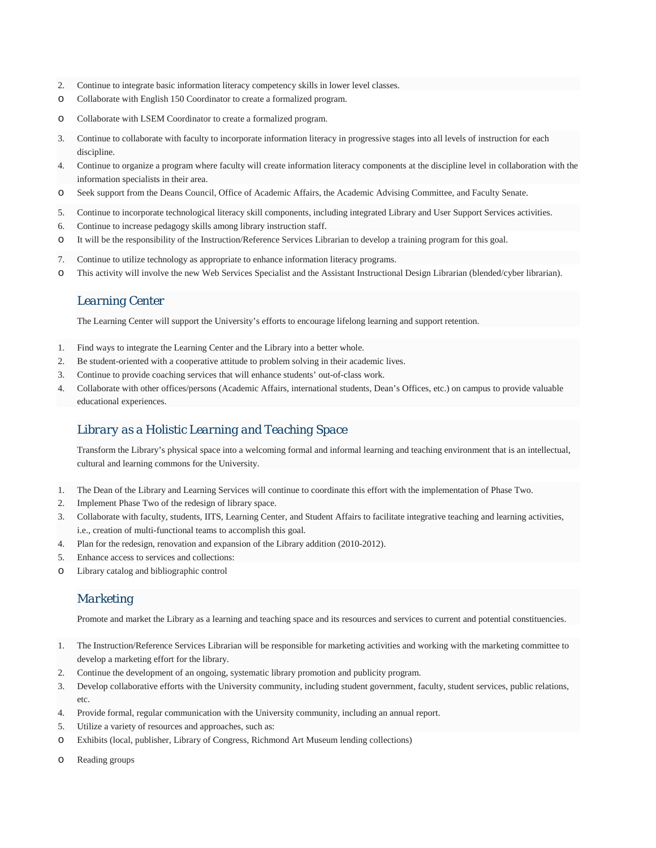- 2. Continue to integrate basic information literacy competency skills in lower level classes.
- o Collaborate with English 150 Coordinator to create a formalized program.
- o Collaborate with LSEM Coordinator to create a formalized program.
- 3. Continue to collaborate with faculty to incorporate information literacy in progressive stages into all levels of instruction for each discipline.
- 4. Continue to organize a program where faculty will create information literacy components at the discipline level in collaboration with the information specialists in their area.
- o Seek support from the Deans Council, Office of Academic Affairs, the Academic Advising Committee, and Faculty Senate.
- 5. Continue to incorporate technological literacy skill components, including integrated Library and User Support Services activities.
- 6. Continue to increase pedagogy skills among library instruction staff.
- o It will be the responsibility of the Instruction/Reference Services Librarian to develop a training program for this goal.
- 7. Continue to utilize technology as appropriate to enhance information literacy programs.
- o This activity will involve the new Web Services Specialist and the Assistant Instructional Design Librarian (blended/cyber librarian).

#### *Learning Center*

The Learning Center will support the University's efforts to encourage lifelong learning and support retention.

- 1. Find ways to integrate the Learning Center and the Library into a better whole.
- 2. Be student-oriented with a cooperative attitude to problem solving in their academic lives.
- 3. Continue to provide coaching services that will enhance students' out-of-class work.
- 4. Collaborate with other offices/persons (Academic Affairs, international students, Dean's Offices, etc.) on campus to provide valuable educational experiences.

### *Library as a Holistic Learning and Teaching Space*

Transform the Library's physical space into a welcoming formal and informal learning and teaching environment that is an intellectual, cultural and learning commons for the University.

- 1. The Dean of the Library and Learning Services will continue to coordinate this effort with the implementation of Phase Two.
- 2. Implement Phase Two of the redesign of library space.
- 3. Collaborate with faculty, students, IITS, Learning Center, and Student Affairs to facilitate integrative teaching and learning activities, i.e., creation of multi-functional teams to accomplish this goal.
- 4. Plan for the redesign, renovation and expansion of the Library addition (2010-2012).
- 5. Enhance access to services and collections:
- o Library catalog and bibliographic control

#### *Marketing*

Promote and market the Library as a learning and teaching space and its resources and services to current and potential constituencies.

- 1. The Instruction/Reference Services Librarian will be responsible for marketing activities and working with the marketing committee to develop a marketing effort for the library.
- 2. Continue the development of an ongoing, systematic library promotion and publicity program.
- 3. Develop collaborative efforts with the University community, including student government, faculty, student services, public relations, etc.
- 4. Provide formal, regular communication with the University community, including an annual report.
- 5. Utilize a variety of resources and approaches, such as:
- o Exhibits (local, publisher, Library of Congress, Richmond Art Museum lending collections)
- o Reading groups